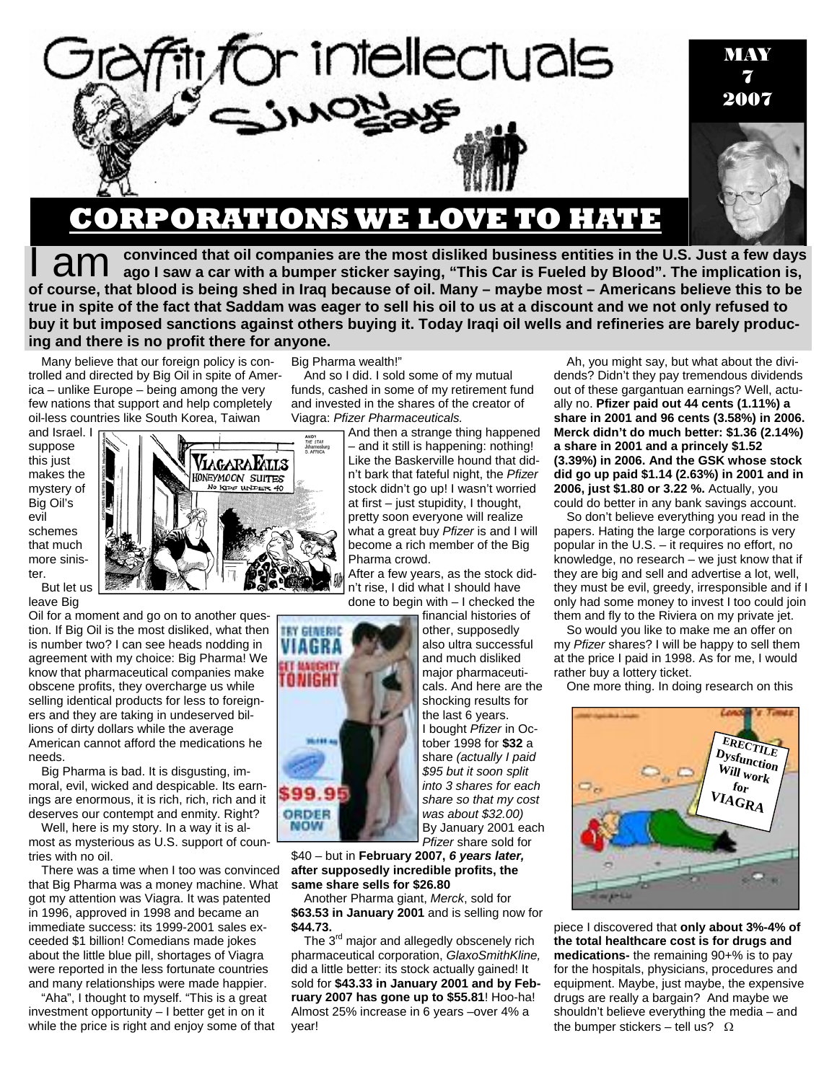

## **CORPORATIONS WE LOVE TO HATE**

convinced that oil companies are the most disliked business entities in the U.S. Just a few days **and Sepand Septem** Convinced that oil companies are the most disliked business entities in the U.S. Just a few days a car with a bumper sticker saying, "This Car is Fueled by Blood". The implication is, **of course, that blood is being shed in Iraq because of oil. Many – maybe most – Americans believe this to be true in spite of the fact that Saddam was eager to sell his oil to us at a discount and we not only refused to buy it but imposed sanctions against others buying it. Today Iraqi oil wells and refineries are barely producing and there is no profit there for anyone.** 

Many believe that our foreign policy is controlled and directed by Big Oil in spite of America – unlike Europe – being among the very few nations that support and help completely oil-less countries like South Korea, Taiwan

and Israel. I suppose this just makes the mystery of Big Oil's evil schemes that much more sinister. But let us

leave Big

Oil for a moment and go on to another question. If Big Oil is the most disliked, what then is number two? I can see heads nodding in agreement with my choice: Big Pharma! We know that pharmaceutical companies make obscene profits, they overcharge us while selling identical products for less to foreigners and they are taking in undeserved billions of dirty dollars while the average American cannot afford the medications he needs.

Big Pharma is bad. It is disgusting, immoral, evil, wicked and despicable. Its earnings are enormous, it is rich, rich, rich and it deserves our contempt and enmity. Right?

Well, here is my story. In a way it is almost as mysterious as U.S. support of countries with no oil.

There was a time when I too was convinced that Big Pharma was a money machine. What got my attention was Viagra. It was patented in 1996, approved in 1998 and became an immediate success: its 1999-2001 sales exceeded \$1 billion! Comedians made jokes about the little blue pill, shortages of Viagra were reported in the less fortunate countries and many relationships were made happier.

"Aha", I thought to myself. "This is a great investment opportunity – I better get in on it while the price is right and enjoy some of that Big Pharma wealth!"

ANDY<br>THE STAR<br>Johannesbur

ViagaraFalls HONEYMOON SUITES KIDS UNDER 40

And so I did. I sold some of my mutual funds, cashed in some of my retirement fund and invested in the shares of the creator of Viagra: *Pfizer Pharmaceuticals.* 

> And then a strange thing happened – and it still is happening: nothing! Like the Baskerville hound that didn't bark that fateful night, the *Pfizer* stock didn't go up! I wasn't worried at first – just stupidity, I thought, pretty soon everyone will realize what a great buy *Pfizer* is and I will become a rich member of the Big Pharma crowd.

After a few years, as the stock didn't rise, I did what I should have done to begin with – I checked the

financial histories of

other, supposedly also ultra successful and much disliked major pharmaceuticals. And here are the shocking results for the last 6 years. I bought *Pfizer* in October 1998 for **\$32** a share *(actually I paid \$95 but it soon split into 3 shares for each share so that my cost was about \$32.00)*  By January 2001 each *Pfizer* share sold for

\$40 – but in **February 2007,** *6 years later,* **after supposedly incredible profits, the same share sells for \$26.80** 

Another Pharma giant, *Merck*, sold for **\$63.53 in January 2001** and is selling now for **\$44.73.**

The 3<sup>rd</sup> major and allegedly obscenely rich pharmaceutical corporation, *GlaxoSmithKline,* did a little better: its stock actually gained! It sold for **\$43.33 in January 2001 and by February 2007 has gone up to \$55.81**! Hoo-ha! Almost 25% increase in 6 years –over 4% a year!

Ah, you might say, but what about the dividends? Didn't they pay tremendous dividends out of these gargantuan earnings? Well, actually no. **Pfizer paid out 44 cents (1.11%) a share in 2001 and 96 cents (3.58%) in 2006. Merck didn't do much better: \$1.36 (2.14%) a share in 2001 and a princely \$1.52 (3.39%) in 2006. And the GSK whose stock did go up paid \$1.14 (2.63%) in 2001 and in 2006, just \$1.80 or 3.22 %.** Actually, you could do better in any bank savings account.

So don't believe everything you read in the papers. Hating the large corporations is very popular in the U.S. – it requires no effort, no knowledge, no research – we just know that if they are big and sell and advertise a lot, well, they must be evil, greedy, irresponsible and if I only had some money to invest I too could join them and fly to the Riviera on my private jet.

So would you like to make me an offer on my *Pfizer* shares? I will be happy to sell them at the price I paid in 1998. As for me, I would rather buy a lottery ticket.

One more thing. In doing research on this



piece I discovered that **only about 3%-4% of the total healthcare cost is for drugs and medications-** the remaining 90+% is to pay for the hospitals, physicians, procedures and equipment. Maybe, just maybe, the expensive drugs are really a bargain? And maybe we shouldn't believe everything the media – and the bumper stickers – tell us?  $Ω$ 

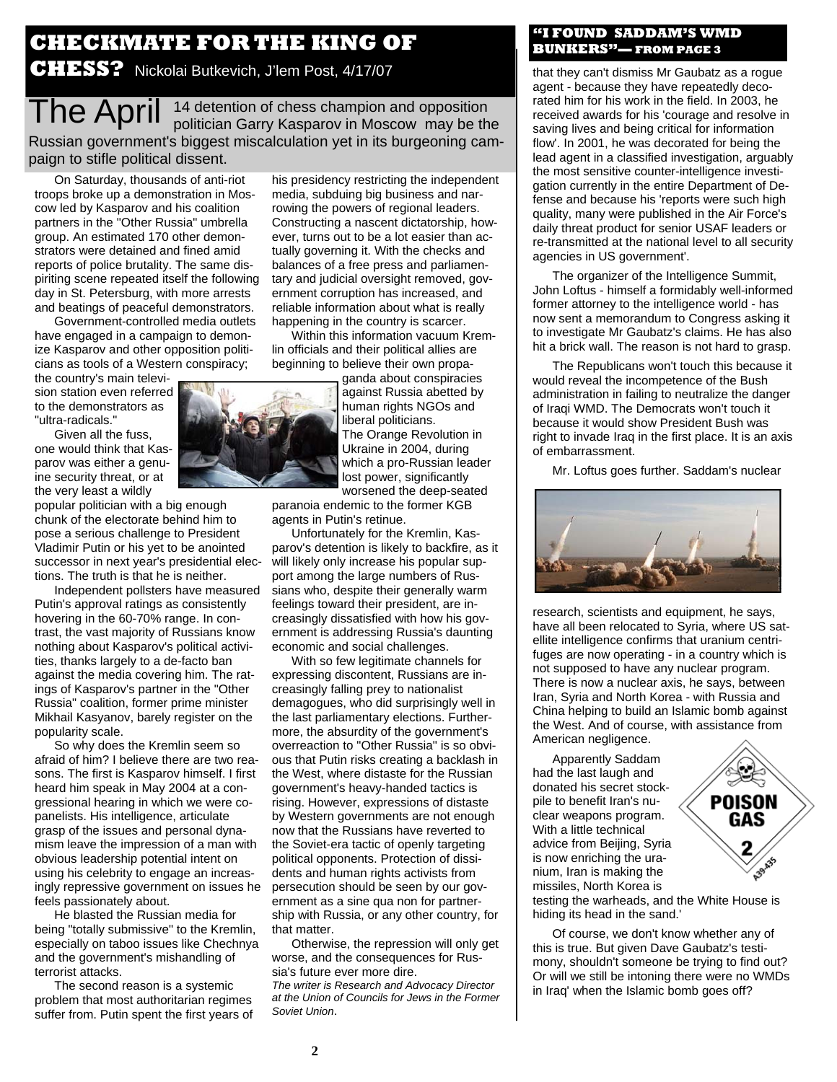## **CHECKMATE FOR THE KING OF CHESS?** Nickolai Butkevich, J'lem Post, 4/17/07

The April <sup>14</sup> detention of chess champion and opposition<br>politician Garry Kasparov in Moscow may be the Russian government's biggest miscalculation yet in its burgeoning campaign to stifle political dissent.

On Saturday, thousands of anti-riot troops broke up a demonstration in Moscow led by Kasparov and his coalition partners in the "Other Russia" umbrella group. An estimated 170 other demonstrators were detained and fined amid reports of police brutality. The same dispiriting scene repeated itself the following day in St. Petersburg, with more arrests and beatings of peaceful demonstrators.

Government-controlled media outlets have engaged in a campaign to demonize Kasparov and other opposition politicians as tools of a Western conspiracy;

the country's main television station even referred to the demonstrators as "ultra-radicals."

Given all the fuss, one would think that Kasparov was either a genuine security threat, or at the very least a wildly

popular politician with a big enough chunk of the electorate behind him to pose a serious challenge to President Vladimir Putin or his yet to be anointed successor in next year's presidential elections. The truth is that he is neither.

Independent pollsters have measured Putin's approval ratings as consistently hovering in the 60-70% range. In contrast, the vast majority of Russians know nothing about Kasparov's political activities, thanks largely to a de-facto ban against the media covering him. The ratings of Kasparov's partner in the "Other Russia" coalition, former prime minister Mikhail Kasyanov, barely register on the popularity scale.

So why does the Kremlin seem so afraid of him? I believe there are two reasons. The first is Kasparov himself. I first heard him speak in May 2004 at a congressional hearing in which we were copanelists. His intelligence, articulate grasp of the issues and personal dynamism leave the impression of a man with obvious leadership potential intent on using his celebrity to engage an increasingly repressive government on issues he feels passionately about.

He blasted the Russian media for being "totally submissive" to the Kremlin, especially on taboo issues like Chechnya and the government's mishandling of terrorist attacks.

The second reason is a systemic problem that most authoritarian regimes suffer from. Putin spent the first years of his presidency restricting the independent media, subduing big business and narrowing the powers of regional leaders. Constructing a nascent dictatorship, however, turns out to be a lot easier than actually governing it. With the checks and balances of a free press and parliamentary and judicial oversight removed, government corruption has increased, and reliable information about what is really happening in the country is scarcer.

Within this information vacuum Kremlin officials and their political allies are beginning to believe their own propa-

ganda about conspiracies against Russia abetted by human rights NGOs and liberal politicians. The Orange Revolution in Ukraine in 2004, during which a pro-Russian leader lost power, significantly worsened the deep-seated

paranoia endemic to the former KGB agents in Putin's retinue.

Unfortunately for the Kremlin, Kasparov's detention is likely to backfire, as it will likely only increase his popular support among the large numbers of Russians who, despite their generally warm feelings toward their president, are increasingly dissatisfied with how his government is addressing Russia's daunting economic and social challenges.

With so few legitimate channels for expressing discontent, Russians are increasingly falling prey to nationalist demagogues, who did surprisingly well in the last parliamentary elections. Furthermore, the absurdity of the government's overreaction to "Other Russia" is so obvious that Putin risks creating a backlash in the West, where distaste for the Russian government's heavy-handed tactics is rising. However, expressions of distaste by Western governments are not enough now that the Russians have reverted to the Soviet-era tactic of openly targeting political opponents. Protection of dissidents and human rights activists from persecution should be seen by our government as a sine qua non for partnership with Russia, or any other country, for that matter.

Otherwise, the repression will only get worse, and the consequences for Russia's future ever more dire.

*The writer is Research and Advocacy Director at the Union of Councils for Jews in the Former Soviet Union*.

### **"I FOUND SADDAM'S WMD BUNKERS"— FROM PAGE 3**

that they can't dismiss Mr Gaubatz as a rogue agent - because they have repeatedly decorated him for his work in the field. In 2003, he received awards for his 'courage and resolve in saving lives and being critical for information flow'. In 2001, he was decorated for being the lead agent in a classified investigation, arguably the most sensitive counter-intelligence investigation currently in the entire Department of Defense and because his 'reports were such high quality, many were published in the Air Force's daily threat product for senior USAF leaders or re-transmitted at the national level to all security agencies in US government'.

The organizer of the Intelligence Summit, John Loftus - himself a formidably well-informed former attorney to the intelligence world - has now sent a memorandum to Congress asking it to investigate Mr Gaubatz's claims. He has also hit a brick wall. The reason is not hard to grasp.

The Republicans won't touch this because it would reveal the incompetence of the Bush administration in failing to neutralize the danger of Iraqi WMD. The Democrats won't touch it because it would show President Bush was right to invade Iraq in the first place. It is an axis of embarrassment.

Mr. Loftus goes further. Saddam's nuclear



research, scientists and equipment, he says, have all been relocated to Syria, where US satellite intelligence confirms that uranium centrifuges are now operating - in a country which is not supposed to have any nuclear program. There is now a nuclear axis, he says, between Iran, Syria and North Korea - with Russia and China helping to build an Islamic bomb against the West. And of course, with assistance from American negligence.

Apparently Saddam had the last laugh and donated his secret stockpile to benefit Iran's nuclear weapons program. With a little technical advice from Beijing, Syria is now enriching the uranium, Iran is making the missiles, North Korea is

testing the warheads, and the White House is hiding its head in the sand.'

Of course, we don't know whether any of this is true. But given Dave Gaubatz's testimony, shouldn't someone be trying to find out? Or will we still be intoning there were no WMDs in Iraq' when the Islamic bomb goes off?



**2** 

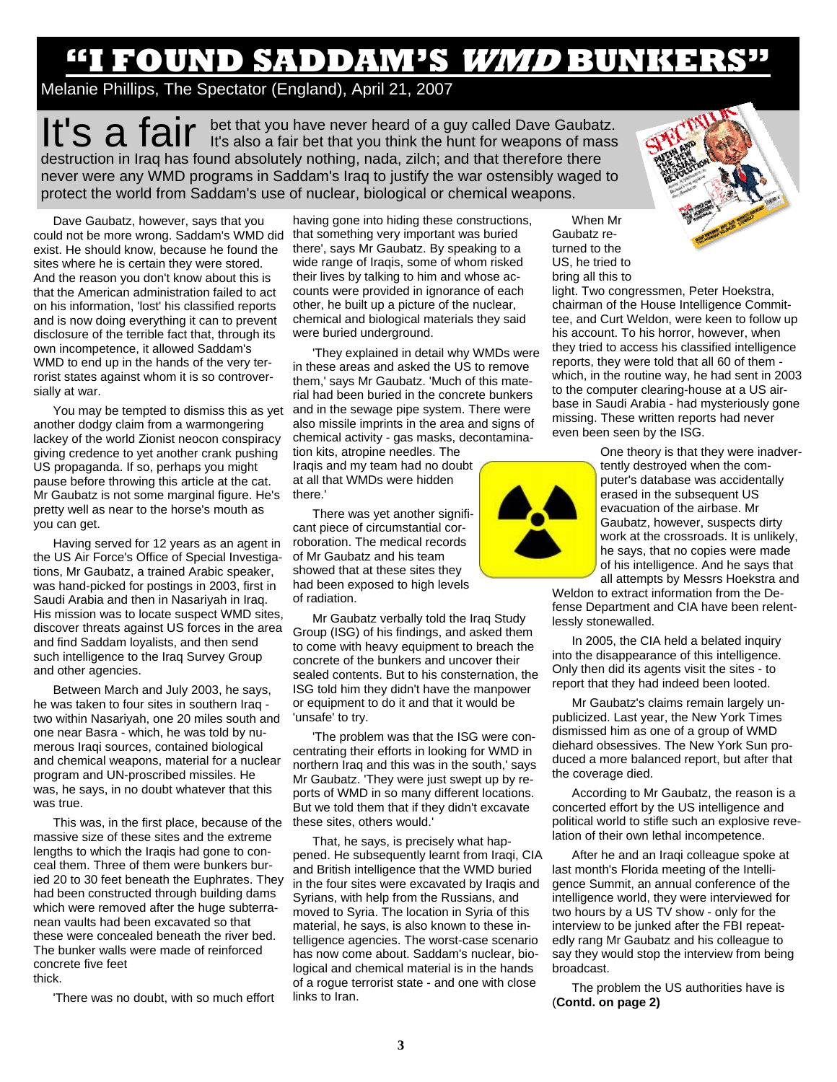# **'I found Saddam's WMD bunker' "I FOUND SADDAM'S WMD BUNKERS"**

Melanie Phillips, The Spectator (England), April 21, 2007

It's a fair bet that you have never heard of a guy called Dave Gaubatz. destruction in Iraq has found absolutely nothing, nada, zilch; and that therefore there never were any WMD programs in Saddam's Iraq to justify the war ostensibly waged to protect the world from Saddam's use of nuclear, biological or chemical weapons.

Dave Gaubatz, however, says that you could not be more wrong. Saddam's WMD did that something very important was buried exist. He should know, because he found the sites where he is certain they were stored. And the reason you don't know about this is that the American administration failed to act on his information, 'lost' his classified reports and is now doing everything it can to prevent disclosure of the terrible fact that, through its own incompetence, it allowed Saddam's WMD to end up in the hands of the very terrorist states against whom it is so controversially at war.

another dodgy claim from a warmongering lackey of the world Zionist neocon conspiracy giving credence to yet another crank pushing US propaganda. If so, perhaps you might pause before throwing this article at the cat. Mr Gaubatz is not some marginal figure. He's pretty well as near to the horse's mouth as you can get.

Having served for 12 years as an agent in the US Air Force's Office of Special Investigations, Mr Gaubatz, a trained Arabic speaker, was hand-picked for postings in 2003, first in Saudi Arabia and then in Nasariyah in Iraq. His mission was to locate suspect WMD sites, discover threats against US forces in the area and find Saddam loyalists, and then send such intelligence to the Irag Survey Group and other agencies.

Between March and July 2003, he says, he was taken to four sites in southern Iraq two within Nasariyah, one 20 miles south and one near Basra - which, he was told by numerous Iraqi sources, contained biological and chemical weapons, material for a nuclear program and UN-proscribed missiles. He was, he says, in no doubt whatever that this was true.

This was, in the first place, because of the massive size of these sites and the extreme lengths to which the Iraqis had gone to conceal them. Three of them were bunkers buried 20 to 30 feet beneath the Euphrates. They had been constructed through building dams which were removed after the huge subterranean vaults had been excavated so that these were concealed beneath the river bed. The bunker walls were made of reinforced concrete five feet thick.

'There was no doubt, with so much effort

having gone into hiding these constructions, there', says Mr Gaubatz. By speaking to a wide range of Iraqis, some of whom risked their lives by talking to him and whose accounts were provided in ignorance of each other, he built up a picture of the nuclear, chemical and biological materials they said were buried underground.

You may be tempted to dismiss this as yet and in the sewage pipe system. There were 'They explained in detail why WMDs were in these areas and asked the US to remove them,' says Mr Gaubatz. 'Much of this material had been buried in the concrete bunkers also missile imprints in the area and signs of chemical activity - gas masks, decontamina-

tion kits, atropine needles. The Iraqis and my team had no doubt at all that WMDs were hidden there.'

There was yet another significant piece of circumstantial corroboration. The medical records of Mr Gaubatz and his team showed that at these sites they had been exposed to high levels of radiation.

Mr Gaubatz verbally told the Iraq Study Group (ISG) of his findings, and asked them to come with heavy equipment to breach the concrete of the bunkers and uncover their sealed contents. But to his consternation, the ISG told him they didn't have the manpower or equipment to do it and that it would be 'unsafe' to try.

'The problem was that the ISG were concentrating their efforts in looking for WMD in northern Iraq and this was in the south,' says Mr Gaubatz. 'They were just swept up by reports of WMD in so many different locations. But we told them that if they didn't excavate these sites, others would.'

That, he says, is precisely what happened. He subsequently learnt from Iraqi, CIA and British intelligence that the WMD buried in the four sites were excavated by Iraqis and Syrians, with help from the Russians, and moved to Syria. The location in Syria of this material, he says, is also known to these intelligence agencies. The worst-case scenario has now come about. Saddam's nuclear, biological and chemical material is in the hands of a rogue terrorist state - and one with close links to Iran.



light. Two congressmen, Peter Hoekstra, chairman of the House Intelligence Committee, and Curt Weldon, were keen to follow up his account. To his horror, however, when they tried to access his classified intelligence reports, they were told that all 60 of them which, in the routine way, he had sent in 2003 to the computer clearing-house at a US airbase in Saudi Arabia - had mysteriously gone missing. These written reports had never even been seen by the ISG.



One theory is that they were inadvertently destroyed when the computer's database was accidentally erased in the subsequent US evacuation of the airbase. Mr Gaubatz, however, suspects dirty work at the crossroads. It is unlikely, he says, that no copies were made of his intelligence. And he says that all attempts by Messrs Hoekstra and

Weldon to extract information from the Defense Department and CIA have been relentlessly stonewalled.

In 2005, the CIA held a belated inquiry into the disappearance of this intelligence. Only then did its agents visit the sites - to report that they had indeed been looted.

Mr Gaubatz's claims remain largely unpublicized. Last year, the New York Times dismissed him as one of a group of WMD diehard obsessives. The New York Sun produced a more balanced report, but after that the coverage died.

According to Mr Gaubatz, the reason is a concerted effort by the US intelligence and political world to stifle such an explosive revelation of their own lethal incompetence.

After he and an Iraqi colleague spoke at last month's Florida meeting of the Intelligence Summit, an annual conference of the intelligence world, they were interviewed for two hours by a US TV show - only for the interview to be junked after the FBI repeatedly rang Mr Gaubatz and his colleague to say they would stop the interview from being broadcast.

The problem the US authorities have is (**Contd. on page 2)**